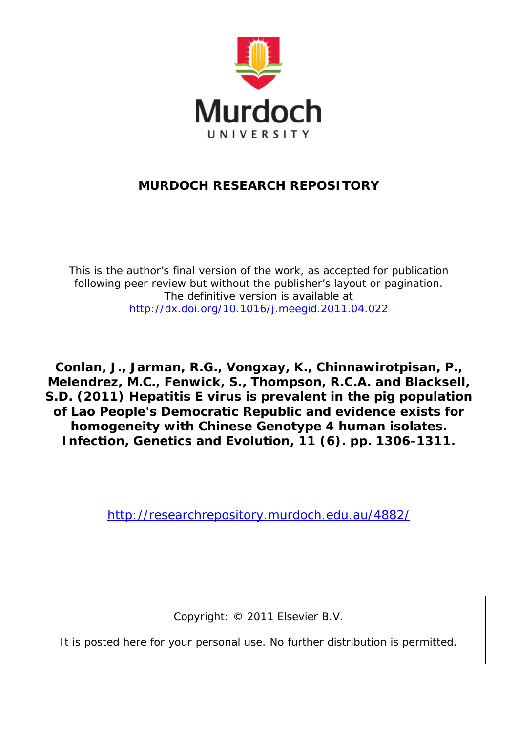

### **MURDOCH RESEARCH REPOSITORY**

*This is the author's final version of the work, as accepted for publication following peer review but without the publisher's layout or pagination. The definitive version is available at <http://dx.doi.org/10.1016/j.meegid.2011.04.022>* 

**Conlan, J., Jarman, R.G., Vongxay, K., Chinnawirotpisan, P., Melendrez, M.C., Fenwick, S., Thompson, R.C.A. and Blacksell, S.D. (2011)** *Hepatitis E virus is prevalent in the pig population of Lao People's Democratic Republic and evidence exists for homogeneity with Chinese Genotype 4 human isolates.* **Infection, Genetics and Evolution, 11 (6). pp. 1306-1311.**

<http://researchrepository.murdoch.edu.au/4882/>

Copyright: © 2011 Elsevier B.V.

It is posted here for your personal use. No further distribution is permitted.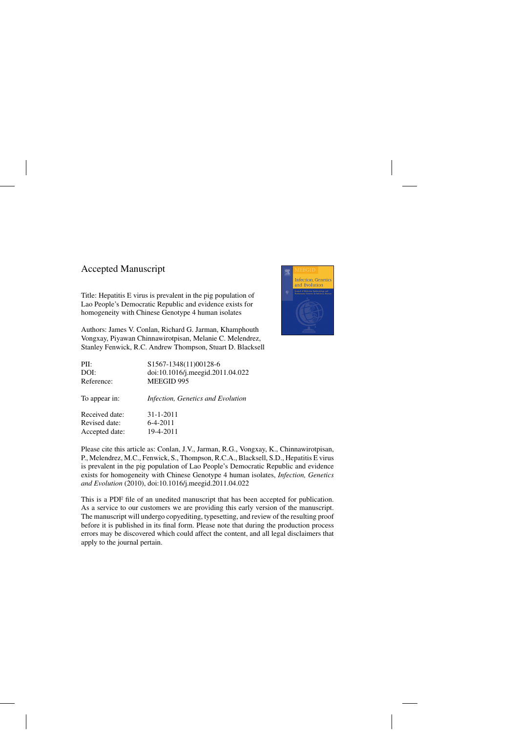### Accepted Manuscript

Title: Hepatitis E virus is prevalent in the pig population of Lao People's Democratic Republic and evidence exists for homogeneity with Chinese Genotype 4 human isolates

Authors: James V. Conlan, Richard G. Jarman, Khamphouth Vongxay, Piyawan Chinnawirotpisan, Melanie C. Melendrez, Stanley Fenwick, R.C. Andrew Thompson, Stuart D. Blacksell

| \$1567-1348(11)00128-6            |
|-----------------------------------|
| doi:10.1016/j.meegid.2011.04.022  |
| MEEGID 995                        |
| Infection, Genetics and Evolution |
| $31 - 1 - 2011$                   |
| $6-4-2011$                        |
| 19-4-2011                         |
|                                   |

Please cite this article as: Conlan, J.V., Jarman, R.G., Vongxay, K., Chinnawirotpisan, P., Melendrez, M.C., Fenwick, S., Thompson, R.C.A., Blacksell, S.D., Hepatitis E virus is prevalent in the pig population of Lao People's Democratic Republic and evidence exists for homogeneity with Chinese Genotype 4 human isolates, *Infection, Genetics and Evolution* (2010), doi:[10.1016/j.meegid.2011.04.022](dx.doi.org/10.1016/j.meegid.2011.04.022)

This is a PDF file of an unedited manuscript that has been accepted for publication. As a service to our customers we are providing this early version of the manuscript. The manuscript will undergo copyediting, typesetting, and review of the resulting proof before it is published in its final form. Please note that during the production process errors may be discovered which could affect the content, and all legal disclaimers that apply to the journal pertain.

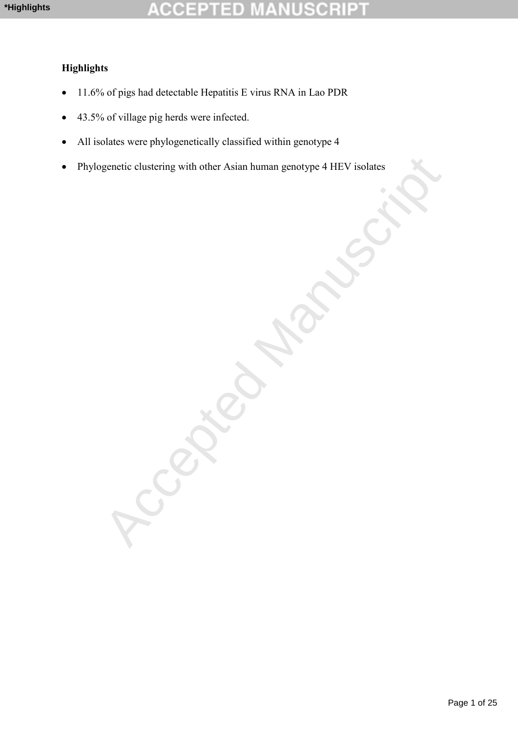#### **MANUSCRIPT CCEPTED**

### **Highlights**

- 11.6% of pigs had detectable Hepatitis E virus RNA in Lao PDR
- 43.5% of village pig herds were infected.
- All isolates were phylogenetically classified within genotype 4
- Phylogenetic clustering with other Asian human genotype 4 HEV isolates

Cccepter Manuscript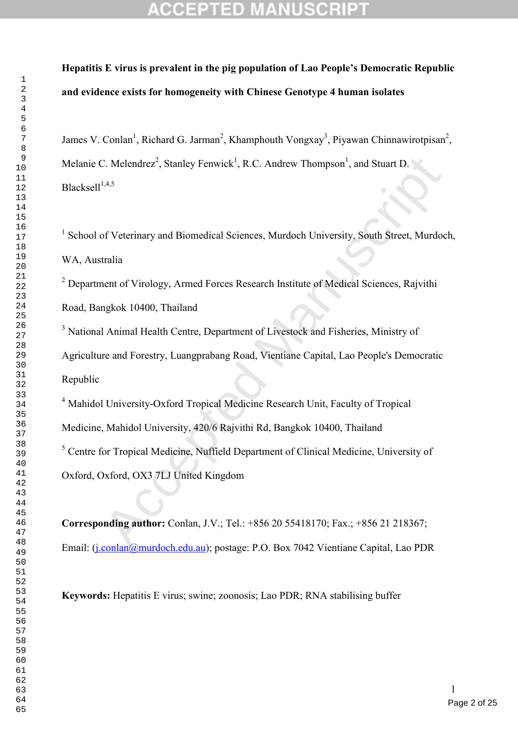# **Hepatitis E virus is prevalent in the pig population of Lao People's Democratic Republic and evidence exists for homogeneity with Chinese Genotype 4 human isolates**

James V. Conlan<sup>1</sup>, Richard G. Jarman<sup>2</sup>, Khamphouth Vongxay<sup>3</sup>, Piyawan Chinnawirotpisan<sup>2</sup>, Melanie C. Melendrez<sup>2</sup>, Stanley Fenwick<sup>1</sup>, R.C. Andrew Thompson<sup>1</sup>, and Stuart D. Blacksell $^{1,4,5}$ 

<sup>1</sup> School of Veterinary and Biomedical Sciences, Murdoch University, South Street, Murdoch, WA, Australia

<sup>2</sup> Department of Virology, Armed Forces Research Institute of Medical Sciences, Rajvithi Road, Bangkok 10400, Thailand

<sup>3</sup> National Animal Health Centre, Department of Livestock and Fisheries, Ministry of Agriculture and Forestry, Luangprabang Road, Vientiane Capital, Lao People's Democratic Republic

C. Melendrez<sup>2</sup>, Stanley Fenwick<sup>1</sup>, R.C. Andrew Thompson<sup>1</sup>, and Stuart D.<br>
1.4.5<br>
of Veterinary and Biomedical Sciences, Murdoch University, South Street, Murdoch<br>
traila<br>
nent of Virology, Armed Forces Research Institut Mahidol University-Oxford Tropical Medicine Research Unit, Faculty of Tropical Medicine, Mahidol University, 420/6 Rajvithi Rd, Bangkok 10400, Thailand Centre for Tropical Medicine, Nuffield Department of Clinical Medicine, University of Oxford, Oxford, OX3 7LJ United Kingdom

**Corresponding author:** Conlan, J.V.; Tel.: +856 20 55418170; Fax.; +856 21 218367; Email: [\(j.conlan@murdoch.edu.au\)](mailto:j.conlan@murdoch.edu.au); postage: P.O. Box 7042 Vientiane Capital, Lao PDR

**Keywords:** Hepatitis E virus; swine; zoonosis; Lao PDR; RNA stabilising buffer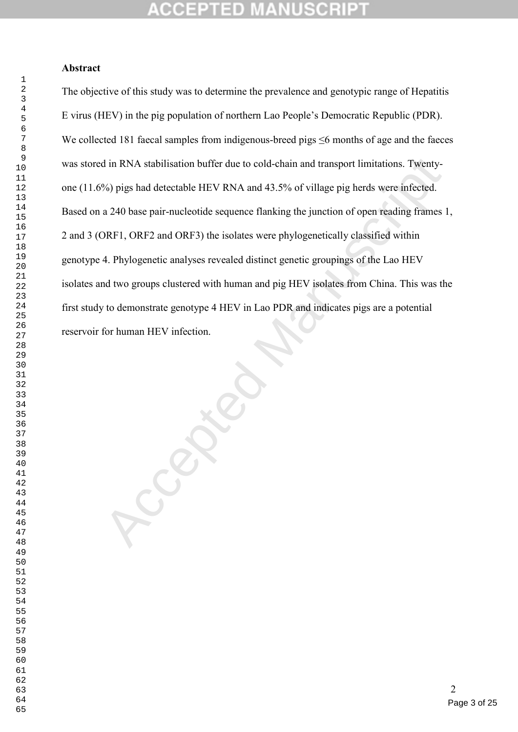#### **Abstract**

d in RNA stabilisation buffer due to cold-chain and transport limitations. Twenty-<br>
29) pigs had detectable HEV RNA and 43.5% of village pig herds were infected.<br>
240 base pair-nucleotide sequence flanking the junction of The objective of this study was to determine the prevalence and genotypic range of Hepatitis E virus (HEV) in the pig population of northern Lao People's Democratic Republic (PDR). We collected 181 faecal samples from indigenous-breed pigs ≤6 months of age and the faeces was stored in RNA stabilisation buffer due to cold-chain and transport limitations. Twentyone (11.6%) pigs had detectable HEV RNA and 43.5% of village pig herds were infected. Based on a 240 base pair-nucleotide sequence flanking the junction of open reading frames 1, 2 and 3 (ORF1, ORF2 and ORF3) the isolates were phylogenetically classified within genotype 4. Phylogenetic analyses revealed distinct genetic groupings of the Lao HEV isolates and two groups clustered with human and pig HEV isolates from China. This was the first study to demonstrate genotype 4 HEV in Lao PDR and indicates pigs are a potential reservoir for human HEV infection.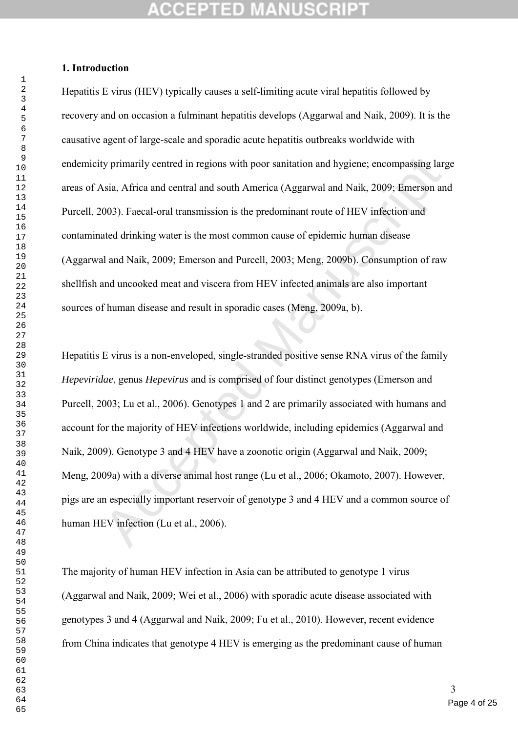#### **1. Introduction**

Hepatitis E virus (HEV) typically causes a self-limiting acute viral hepatitis followed by recovery and on occasion a fulminant hepatitis develops (Aggarwal and Naik, 2009). It is the causative agent of large-scale and sporadic acute hepatitis outbreaks worldwide with endemicity primarily centred in regions with poor sanitation and hygiene; encompassing large areas of Asia, Africa and central and south America (Aggarwal and Naik, 2009; Emerson and Purcell, 2003). Faecal-oral transmission is the predominant route of HEV infection and contaminated drinking water is the most common cause of epidemic human disease (Aggarwal and Naik, 2009; Emerson and Purcell, 2003; Meng, 2009b). Consumption of raw shellfish and uncooked meat and viscera from HEV infected animals are also important sources of human disease and result in sporadic cases (Meng, 2009a, b).

ty primarily centred in regions with poor sanitation and hygiene; encompassing larguista, Africa and central and south America (Aggarwal and Naik, 2009; Emerson an 003). Faecal-oral transmission is the predominant route of Hepatitis E virus is a non-enveloped, single-stranded positive sense RNA virus of the family *Hepeviridae*, genus *Hepevirus* and is comprised of four distinct genotypes (Emerson and Purcell, 2003; Lu et al., 2006). Genotypes 1 and 2 are primarily associated with humans and account for the majority of HEV infections worldwide, including epidemics (Aggarwal and Naik, 2009). Genotype 3 and 4 HEV have a zoonotic origin (Aggarwal and Naik, 2009; Meng, 2009a) with a diverse animal host range (Lu et al., 2006; Okamoto, 2007). However, pigs are an especially important reservoir of genotype 3 and 4 HEV and a common source of human HEV infection (Lu et al., 2006).

The majority of human HEV infection in Asia can be attributed to genotype 1 virus (Aggarwal and Naik, 2009; Wei et al., 2006) with sporadic acute disease associated with genotypes 3 and 4 (Aggarwal and Naik, 2009; Fu et al., 2010). However, recent evidence from China indicates that genotype 4 HEV is emerging as the predominant cause of human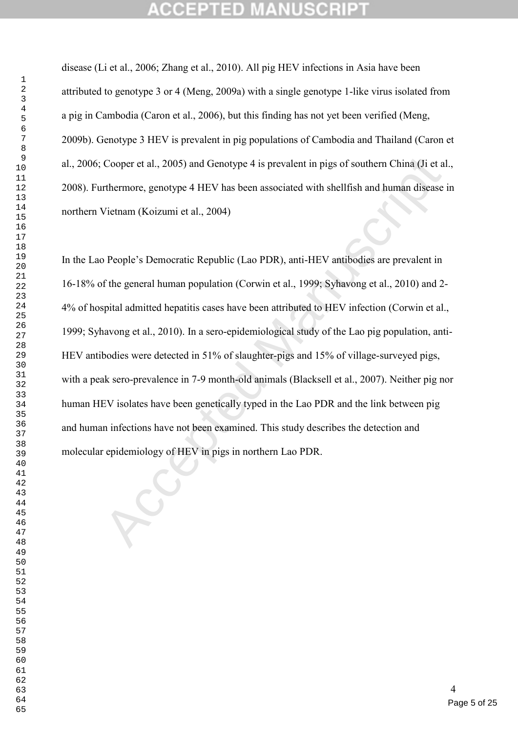disease (Li et al., 2006; Zhang et al., 2010). All pig HEV infections in Asia have been attributed to genotype 3 or 4 (Meng, 2009a) with a single genotype 1-like virus isolated from a pig in Cambodia (Caron et al., 2006), but this finding has not yet been verified (Meng, 2009b). Genotype 3 HEV is prevalent in pig populations of Cambodia and Thailand (Caron et al., 2006; Cooper et al., 2005) and Genotype 4 is prevalent in pigs of southern China (Ji et al., 2008). Furthermore, genotype 4 HEV has been associated with shellfish and human disease in northern Vietnam (Koizumi et al., 2004)

Cooper et al., 2005) and Genotype 4 is prevalent in pigs of southern China (Ji et al<br>
arthermore, genotype 4 HEV has been associated with shellfish and human disease i<br>
Vietnam (Koizumi et al., 2004)<br>
Deople's Democratic R In the Lao People's Democratic Republic (Lao PDR), anti-HEV antibodies are prevalent in 16-18% of the general human population (Corwin et al., 1999; Syhavong et al., 2010) and 2- 4% of hospital admitted hepatitis cases have been attributed to HEV infection (Corwin et al., 1999; Syhavong et al., 2010). In a sero-epidemiological study of the Lao pig population, anti-HEV antibodies were detected in 51% of slaughter-pigs and 15% of village-surveyed pigs, with a peak sero-prevalence in 7-9 month-old animals (Blacksell et al., 2007). Neither pig nor human HEV isolates have been genetically typed in the Lao PDR and the link between pig and human infections have not been examined. This study describes the detection and molecular epidemiology of HEV in pigs in northern Lao PDR.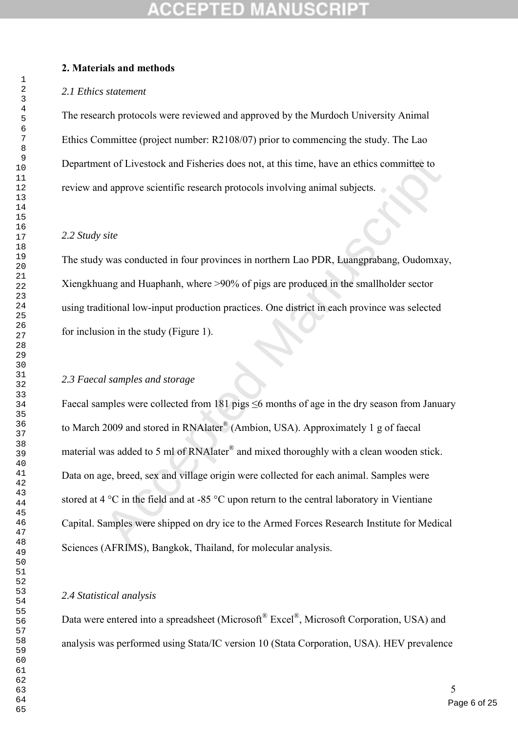### **CCEPTED MANUSCF**

#### **2. Materials and methods**

#### *2.1 Ethics statement*

The research protocols were reviewed and approved by the Murdoch University Animal Ethics Committee (project number: R2108/07) prior to commencing the study. The Lao Department of Livestock and Fisheries does not, at this time, have an ethics committee to review and approve scientific research protocols involving animal subjects.

#### *2.2 Study site*

The study was conducted in four provinces in northern Lao PDR, Luangprabang, Oudomxay, Xiengkhuang and Huaphanh, where >90% of pigs are produced in the smallholder sector using traditional low-input production practices. One district in each province was selected for inclusion in the study (Figure 1).

#### *2.3 Faecal samples and storage*

ent of Livestock and Fisheries does not, at this time, have an ethics committee to<br>
approve scientific research protocols involving animal subjects.<br>
site<br>
site<br>
site<br>
site<br>
site<br>
was conducted in four provinces in norther Faecal samples were collected from 181 pigs  $\leq 6$  months of age in the dry season from January to March 2009 and stored in RNAlater® (Ambion, USA). Approximately 1 g of faecal material was added to 5 ml of RNAlater® and mixed thoroughly with a clean wooden stick. Data on age, breed, sex and village origin were collected for each animal. Samples were stored at 4 °C in the field and at -85 °C upon return to the central laboratory in Vientiane Capital. Samples were shipped on dry ice to the Armed Forces Research Institute for Medical Sciences (AFRIMS), Bangkok, Thailand, for molecular analysis.

#### *2.4 Statistical analysis*

Data were entered into a spreadsheet (Microsoft® Excel®, Microsoft Corporation, USA) and analysis was performed using Stata/IC version 10 (Stata Corporation, USA). HEV prevalence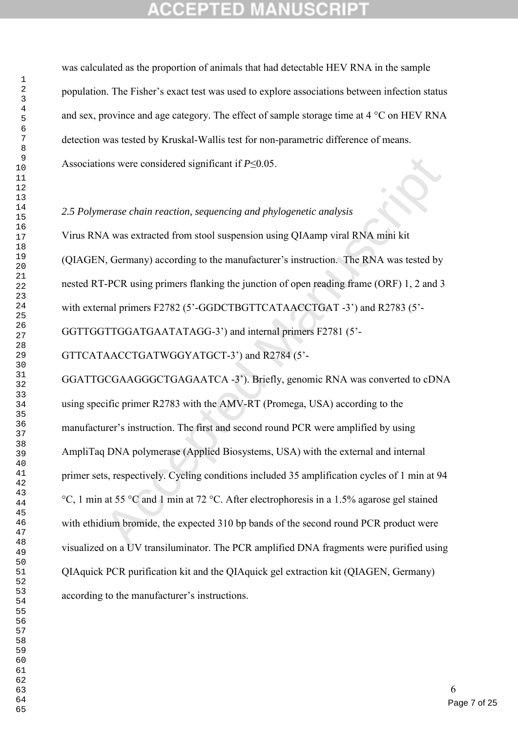was calculated as the proportion of animals that had detectable HEV RNA in the sample population. The Fisher's exact test was used to explore associations between infection status and sex, province and age category. The effect of sample storage time at 4 °C on HEV RNA detection was tested by Kruskal-Wallis test for non-parametric difference of means. Associations were considered significant if *P*≤0.05.

*2.5 Polymerase chain reaction, sequencing and phylogenetic analysis*

Virus RNA was extracted from stool suspension using QIAamp viral RNA mini kit (QIAGEN, Germany) according to the manufacturer's instruction. The RNA was tested by nested RT-PCR using primers flanking the junction of open reading frame (ORF) 1, 2 and 3 with external primers F2782 (5'-GGDCTBGTTCATAACCTGAT -3') and R2783 (5'-GGTTGGTTGGATGAATATAGG-3') and internal primers F2781 (5'-

GTTCATAACCTGATWGGYATGCT-3') and R2784 (5'-

ons were considered significant if *P*≤0.05.<br>
Herase chain reaction, sequencing and phylogenetic analysis<br>
A was extracted from stool suspension using QIAamp viral RNA mini kit<br>
A, Germany) according to the manufacturer's GGATTGCGAAGGGCTGAGAATCA -3'). Briefly, genomic RNA was converted to cDNA using specific primer R2783 with the AMV-RT (Promega, USA) according to the manufacturer's instruction. The first and second round PCR were amplified by using AmpliTaq DNA polymerase (Applied Biosystems, USA) with the external and internal primer sets, respectively. Cycling conditions included 35 amplification cycles of 1 min at 94 °C, 1 min at 55 °C and 1 min at 72 °C. After electrophoresis in a 1.5% agarose gel stained with ethidium bromide, the expected 310 bp bands of the second round PCR product were visualized on a UV transiluminator. The PCR amplified DNA fragments were purified using QIAquick PCR purification kit and the QIAquick gel extraction kit (QIAGEN, Germany) according to the manufacturer's instructions.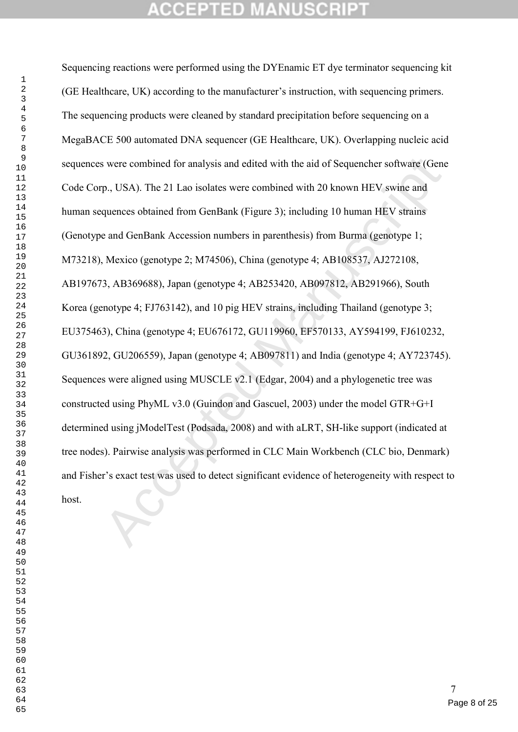s were combined for analysis and edited with the aid of Sequencher software (Gene, USA). The 21 Lao isolates were combined with 20 known HEV swine and quences obtained from GenBank (Figure 3); including 10 human HEV strain Sequencing reactions were performed using the DYEnamic ET dye terminator sequencing kit (GE Healthcare, UK) according to the manufacturer's instruction, with sequencing primers. The sequencing products were cleaned by standard precipitation before sequencing on a MegaBACE 500 automated DNA sequencer (GE Healthcare, UK). Overlapping nucleic acid sequences were combined for analysis and edited with the aid of Sequencher software (Gene Code Corp., USA). The 21 Lao isolates were combined with 20 known HEV swine and human sequences obtained from GenBank (Figure 3); including 10 human HEV strains (Genotype and GenBank Accession numbers in parenthesis) from Burma (genotype 1; M73218), Mexico (genotype 2; M74506), China (genotype 4; AB108537, AJ272108, AB197673, AB369688), Japan (genotype 4; AB253420, AB097812, AB291966), South Korea (genotype 4; FJ763142), and 10 pig HEV strains, including Thailand (genotype 3; EU375463), China (genotype 4; EU676172, GU119960, EF570133, AY594199, FJ610232, GU361892, GU206559), Japan (genotype 4; AB097811) and India (genotype 4; AY723745). Sequences were aligned using MUSCLE v2.1 (Edgar, 2004) and a phylogenetic tree was constructed using PhyML v3.0 (Guindon and Gascuel, 2003) under the model GTR+G+I determined using jModelTest (Podsada, 2008) and with aLRT, SH-like support (indicated at tree nodes). Pairwise analysis was performed in CLC Main Workbench (CLC bio, Denmark) and Fisher's exact test was used to detect significant evidence of heterogeneity with respect to host.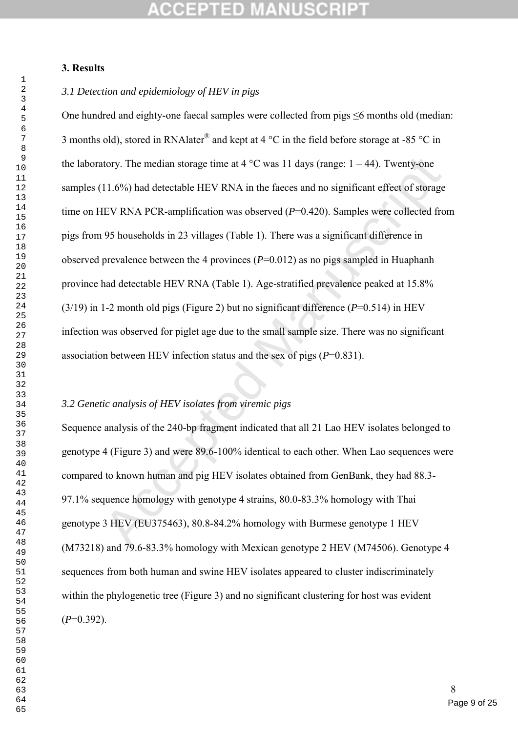#### **3. Results**

#### *3.1 Detection and epidemiology of HEV in pigs*

tory. The median storage time at 4 °C was 11 days (range: 1 – 44). Twenty-one<br>11.6%) had detectable HEV RNA in the facees and no significant effect of storage<br>EV RNA PCR-amplification was observed ( $P=0.420$ ). Samples wer One hundred and eighty-one faecal samples were collected from pigs  $\leq 6$  months old (median: 3 months old), stored in RNAlater<sup>®</sup> and kept at 4 °C in the field before storage at -85 °C in the laboratory. The median storage time at 4  $^{\circ}$ C was 11 days (range: 1 – 44). Twenty-one samples (11.6%) had detectable HEV RNA in the faeces and no significant effect of storage time on HEV RNA PCR-amplification was observed (*P*=0.420). Samples were collected from pigs from 95 households in 23 villages (Table 1). There was a significant difference in observed prevalence between the 4 provinces  $(P=0.012)$  as no pigs sampled in Huaphanh province had detectable HEV RNA (Table 1). Age-stratified prevalence peaked at 15.8% (3/19) in 1-2 month old pigs (Figure 2) but no significant difference (*P*=0.514) in HEV infection was observed for piglet age due to the small sample size. There was no significant association between HEV infection status and the sex of pigs (*P*=0.831).

#### *3.2 Genetic analysis of HEV isolates from viremic pigs*

Sequence analysis of the 240-bp fragment indicated that all 21 Lao HEV isolates belonged to genotype 4 (Figure 3) and were 89.6-100% identical to each other. When Lao sequences were compared to known human and pig HEV isolates obtained from GenBank, they had 88.3- 97.1% sequence homology with genotype 4 strains, 80.0-83.3% homology with Thai genotype 3 HEV (EU375463), 80.8-84.2% homology with Burmese genotype 1 HEV (M73218) and 79.6-83.3% homology with Mexican genotype 2 HEV (M74506). Genotype 4 sequences from both human and swine HEV isolates appeared to cluster indiscriminately within the phylogenetic tree (Figure 3) and no significant clustering for host was evident (*P*=0.392).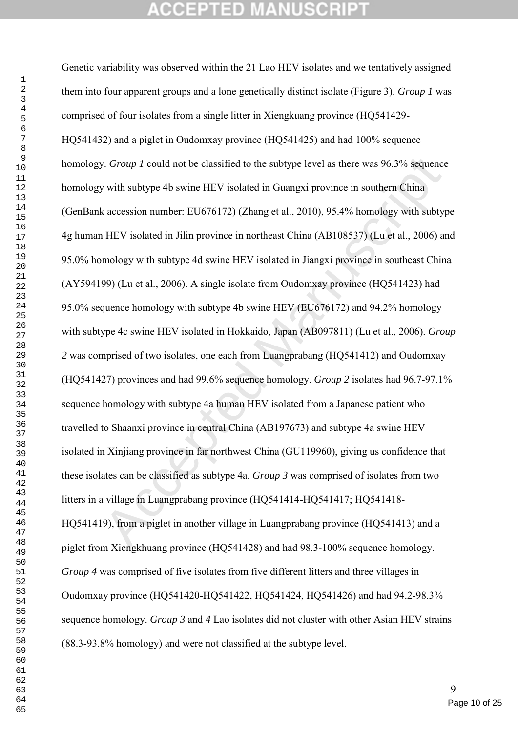*F. Group 1* could not be classified to the subtype level as there was 96.3% sequence<br>
with subtype 4b swine HEV isolated in Guangxi province in southern China<br>
s accession number: EU676172) (Zhang et al., 2010), 95.4% ho Genetic variability was observed within the 21 Lao HEV isolates and we tentatively assigned them into four apparent groups and a lone genetically distinct isolate (Figure 3). *Group 1* was comprised of four isolates from a single litter in Xiengkuang province (HQ541429- HQ541432) and a piglet in Oudomxay province (HQ541425) and had 100% sequence homology. *Group 1* could not be classified to the subtype level as there was 96.3% sequence homology with subtype 4b swine HEV isolated in Guangxi province in southern China (GenBank accession number: EU676172) (Zhang et al., 2010), 95.4% homology with subtype 4g human HEV isolated in Jilin province in northeast China (AB108537) (Lu et al., 2006) and 95.0% homology with subtype 4d swine HEV isolated in Jiangxi province in southeast China (AY594199) (Lu et al., 2006). A single isolate from Oudomxay province (HQ541423) had 95.0% sequence homology with subtype 4b swine HEV (EU676172) and 94.2% homology with subtype 4c swine HEV isolated in Hokkaido, Japan (AB097811) (Lu et al., 2006). *Group*  was comprised of two isolates, one each from Luangprabang (HQ541412) and Oudomxay (HQ541427) provinces and had 99.6% sequence homology. *Group 2* isolates had 96.7-97.1% sequence homology with subtype 4a human HEV isolated from a Japanese patient who travelled to Shaanxi province in central China (AB197673) and subtype 4a swine HEV isolated in Xinjiang province in far northwest China (GU119960), giving us confidence that these isolates can be classified as subtype 4a. *Group 3* was comprised of isolates from two litters in a village in Luangprabang province (HQ541414-HQ541417; HQ541418- HQ541419), from a piglet in another village in Luangprabang province (HQ541413) and a piglet from Xiengkhuang province (HQ541428) and had 98.3-100% sequence homology. *Group 4* was comprised of five isolates from five different litters and three villages in Oudomxay province (HQ541420-HQ541422, HQ541424, HQ541426) and had 94.2-98.3% sequence homology. *Group 3* and *4* Lao isolates did not cluster with other Asian HEV strains (88.3-93.8% homology) and were not classified at the subtype level.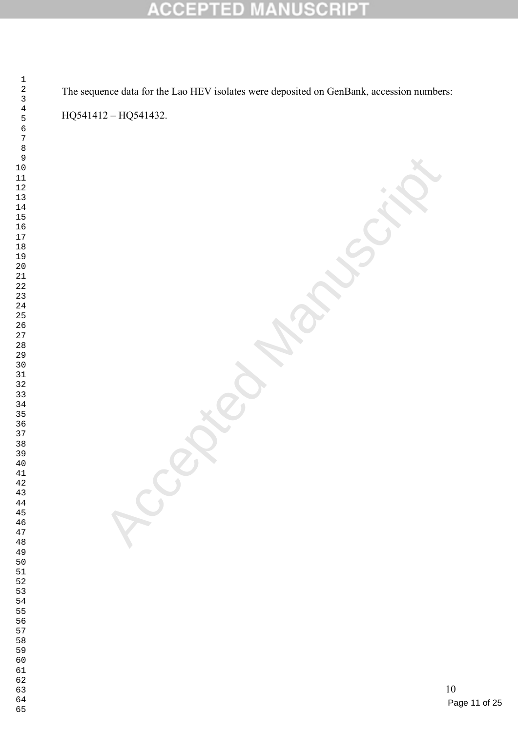The sequence data for the Lao HEV isolates were deposited on GenBank, accession numbers: HQ541412 – HQ541432.

Cancer Manuscript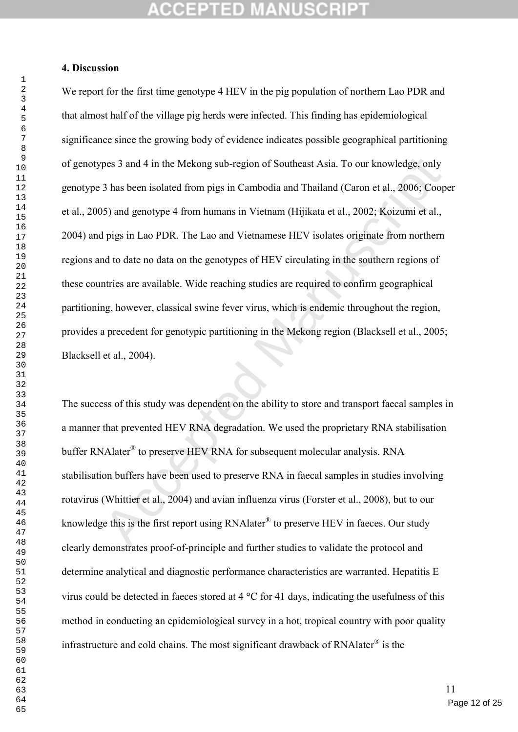#### **4. Discussion**

pes 3 and 4 in the Mekong sub-region of Southeast Asia. To our knowledge, only<br>3 has been isolated from pigs in Cambodia and Thailand (Caron et al., 2006; Coop<br>5) and genotype 4 from humans in Vietname (Hijikata et al., 20 We report for the first time genotype 4 HEV in the pig population of northern Lao PDR and that almost half of the village pig herds were infected. This finding has epidemiological significance since the growing body of evidence indicates possible geographical partitioning of genotypes 3 and 4 in the Mekong sub-region of Southeast Asia. To our knowledge, only genotype 3 has been isolated from pigs in Cambodia and Thailand (Caron et al., 2006; Cooper et al., 2005) and genotype 4 from humans in Vietnam (Hijikata et al., 2002; Koizumi et al., 2004) and pigs in Lao PDR. The Lao and Vietnamese HEV isolates originate from northern regions and to date no data on the genotypes of HEV circulating in the southern regions of these countries are available. Wide reaching studies are required to confirm geographical partitioning, however, classical swine fever virus, which is endemic throughout the region, provides a precedent for genotypic partitioning in the Mekong region (Blacksell et al., 2005; Blacksell et al., 2004).

The success of this study was dependent on the ability to store and transport faecal samples in a manner that prevented HEV RNA degradation. We used the proprietary RNA stabilisation buffer RNAlater<sup>®</sup> to preserve HEV RNA for subsequent molecular analysis. RNA stabilisation buffers have been used to preserve RNA in faecal samples in studies involving rotavirus (Whittier et al., 2004) and avian influenza virus (Forster et al., 2008), but to our knowledge this is the first report using  $RNAlater^{\circledast}$  to preserve HEV in faeces. Our study clearly demonstrates proof-of-principle and further studies to validate the protocol and determine analytical and diagnostic performance characteristics are warranted. Hepatitis E virus could be detected in faeces stored at  $4^{\circ}$ C for 41 days, indicating the usefulness of this method in conducting an epidemiological survey in a hot, tropical country with poor quality infrastructure and cold chains. The most significant drawback of RNAlater $^{\circledR}$  is the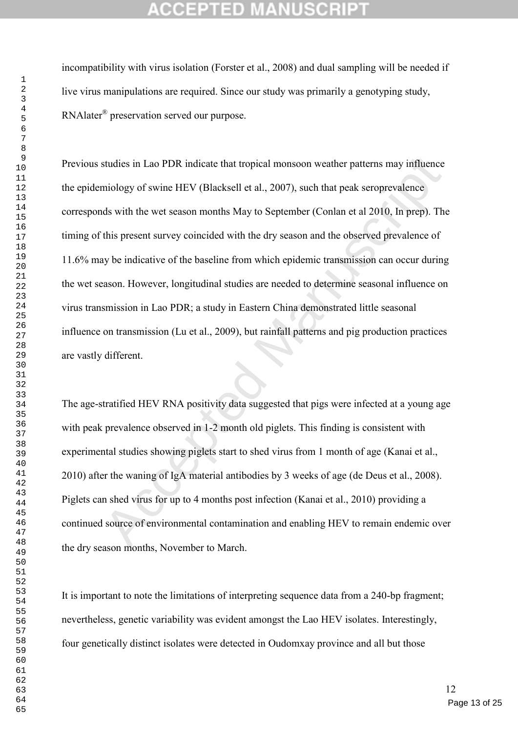incompatibility with virus isolation (Forster et al., 2008) and dual sampling will be needed if live virus manipulations are required. Since our study was primarily a genotyping study, RNAlater<sup>®</sup> preservation served our purpose.

studies in Lao PDR indicate that tropical monsoon weather patterns may influence<br>miology of swine HEV (Blacksell et al., 2007), such that peak seroprevalence<br>ds with the wet season months May to September (Conlan et al 201 Previous studies in Lao PDR indicate that tropical monsoon weather patterns may influence the epidemiology of swine HEV (Blacksell et al., 2007), such that peak seroprevalence corresponds with the wet season months May to September (Conlan et al 2010, In prep). The timing of this present survey coincided with the dry season and the observed prevalence of 11.6% may be indicative of the baseline from which epidemic transmission can occur during the wet season. However, longitudinal studies are needed to determine seasonal influence on virus transmission in Lao PDR; a study in Eastern China demonstrated little seasonal influence on transmission (Lu et al., 2009), but rainfall patterns and pig production practices are vastly different.

The age-stratified HEV RNA positivity data suggested that pigs were infected at a young age with peak prevalence observed in 1-2 month old piglets. This finding is consistent with experimental studies showing piglets start to shed virus from 1 month of age (Kanai et al., 2010) after the waning of IgA material antibodies by 3 weeks of age (de Deus et al., 2008). Piglets can shed virus for up to 4 months post infection (Kanai et al., 2010) providing a continued source of environmental contamination and enabling HEV to remain endemic over the dry season months, November to March.

It is important to note the limitations of interpreting sequence data from a 240-bp fragment; nevertheless, genetic variability was evident amongst the Lao HEV isolates. Interestingly, four genetically distinct isolates were detected in Oudomxay province and all but those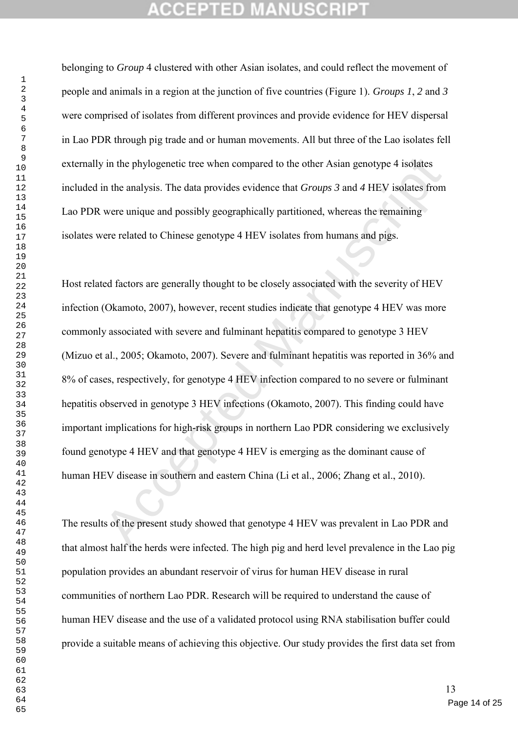belonging to *Group* 4 clustered with other Asian isolates, and could reflect the movement of people and animals in a region at the junction of five countries (Figure 1). *Groups 1*, *2* and *3* were comprised of isolates from different provinces and provide evidence for HEV dispersal in Lao PDR through pig trade and or human movements. All but three of the Lao isolates fell externally in the phylogenetic tree when compared to the other Asian genotype 4 isolates included in the analysis. The data provides evidence that *Groups 3* and *4* HEV isolates from Lao PDR were unique and possibly geographically partitioned, whereas the remaining isolates were related to Chinese genotype 4 HEV isolates from humans and pigs.

*i* in the phylogenetic tree when compared to the other Asian genotype 4 isolates<br>in the analysis. The data provides evidence that *Groups* 3 and 4 HEV isolates from<br>were unique and possibly geographically partitioned, wh Host related factors are generally thought to be closely associated with the severity of HEV infection (Okamoto, 2007), however, recent studies indicate that genotype 4 HEV was more commonly associated with severe and fulminant hepatitis compared to genotype 3 HEV (Mizuo et al., 2005; Okamoto, 2007). Severe and fulminant hepatitis was reported in 36% and 8% of cases, respectively, for genotype 4 HEV infection compared to no severe or fulminant hepatitis observed in genotype 3 HEV infections (Okamoto, 2007). This finding could have important implications for high-risk groups in northern Lao PDR considering we exclusively found genotype 4 HEV and that genotype 4 HEV is emerging as the dominant cause of human HEV disease in southern and eastern China (Li et al., 2006; Zhang et al., 2010).

The results of the present study showed that genotype 4 HEV was prevalent in Lao PDR and that almost half the herds were infected. The high pig and herd level prevalence in the Lao pig population provides an abundant reservoir of virus for human HEV disease in rural communities of northern Lao PDR. Research will be required to understand the cause of human HEV disease and the use of a validated protocol using RNA stabilisation buffer could provide a suitable means of achieving this objective. Our study provides the first data set from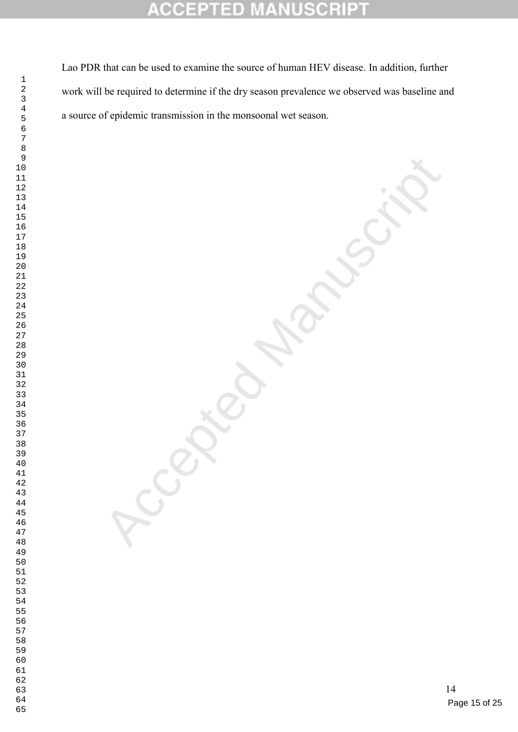Lao PDR that can be used to examine the source of human HEV disease. In addition, further work will be required to determine if the dry season prevalence we observed was baseline and a source of epidemic transmission in the monsoonal wet season.

Ccepted Mi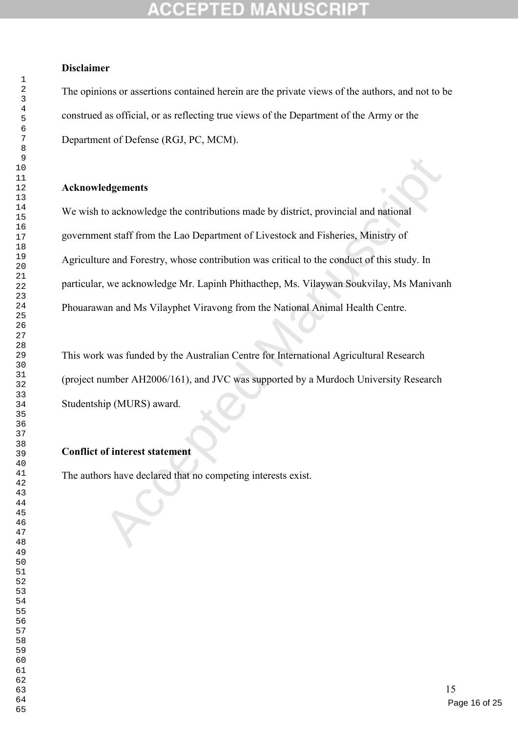#### **Disclaimer**

The opinions or assertions contained herein are the private views of the authors, and not to be construed as official, or as reflecting true views of the Department of the Army or the Department of Defense (RGJ, PC, MCM).

#### **Acknowledgements**

redgements<br>to acknowledge the contributions made by district, provincial and national<br>ent staff from the Lao Department of Livestock and Fisheries, Ministry of<br>re and Forestry, whose contribution was critical to the conduc We wish to acknowledge the contributions made by district, provincial and national government staff from the Lao Department of Livestock and Fisheries, Ministry of Agriculture and Forestry, whose contribution was critical to the conduct of this study. In particular, we acknowledge Mr. Lapinh Phithacthep, Ms. Vilaywan Soukvilay, Ms Manivanh Phouarawan and Ms Vilayphet Viravong from the National Animal Health Centre.

This work was funded by the Australian Centre for International Agricultural Research (project number AH2006/161), and JVC was supported by a Murdoch University Research Studentship (MURS) award.

#### **Conflict of interest statement**

The authors have declared that no competing interests exist.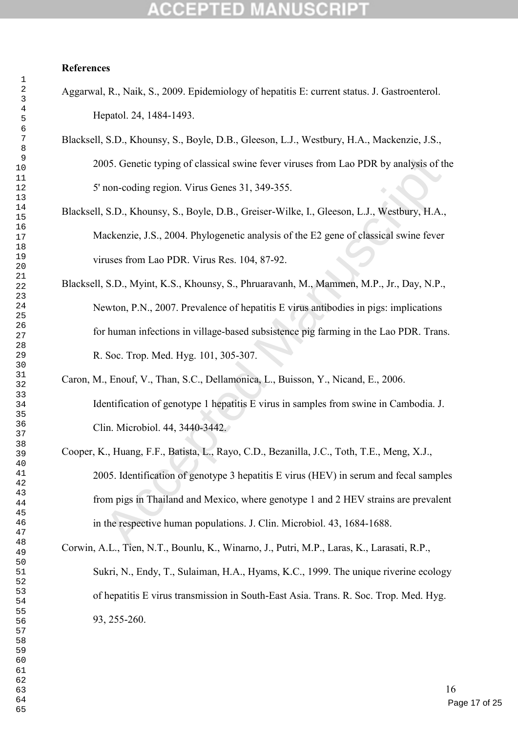#### **References**

- Aggarwal, R., Naik, S., 2009. Epidemiology of hepatitis E: current status. J. Gastroenterol. Hepatol. 24, 1484-1493.
- Blacksell, S.D., Khounsy, S., Boyle, D.B., Gleeson, L.J., Westbury, H.A., Mackenzie, J.S., 2005. Genetic typing of classical swine fever viruses from Lao PDR by analysis of the 5' non-coding region. Virus Genes 31, 349-355.
- Blacksell, S.D., Khounsy, S., Boyle, D.B., Greiser-Wilke, I., Gleeson, L.J., Westbury, H.A., Mackenzie, J.S., 2004. Phylogenetic analysis of the E2 gene of classical swine fever viruses from Lao PDR. Virus Res. 104, 87-92.
- 005. Genetic typing of classical swine fever viruses from Lao PDR by analysis of th<br>non-coding region. Virus Genes 31, 349-355.<br>
S.D., Khounsy, S., Boyle, D.B., Greiser-Wilke, L., Gleeson, L.J., Westbury, H.A.,<br>
ackenzie, Blacksell, S.D., Myint, K.S., Khounsy, S., Phruaravanh, M., Mammen, M.P., Jr., Day, N.P., Newton, P.N., 2007. Prevalence of hepatitis E virus antibodies in pigs: implications for human infections in village-based subsistence pig farming in the Lao PDR. Trans. R. Soc. Trop. Med. Hyg. 101, 305-307.
- Caron, M., Enouf, V., Than, S.C., Dellamonica, L., Buisson, Y., Nicand, E., 2006. Identification of genotype 1 hepatitis E virus in samples from swine in Cambodia. J. Clin. Microbiol. 44, 3440-3442.
- Cooper, K., Huang, F.F., Batista, L., Rayo, C.D., Bezanilla, J.C., Toth, T.E., Meng, X.J., 2005. Identification of genotype 3 hepatitis E virus (HEV) in serum and fecal samples from pigs in Thailand and Mexico, where genotype 1 and 2 HEV strains are prevalent in the respective human populations. J. Clin. Microbiol. 43, 1684-1688.
- Corwin, A.L., Tien, N.T., Bounlu, K., Winarno, J., Putri, M.P., Laras, K., Larasati, R.P., Sukri, N., Endy, T., Sulaiman, H.A., Hyams, K.C., 1999. The unique riverine ecology of hepatitis E virus transmission in South-East Asia. Trans. R. Soc. Trop. Med. Hyg. 93, 255-260.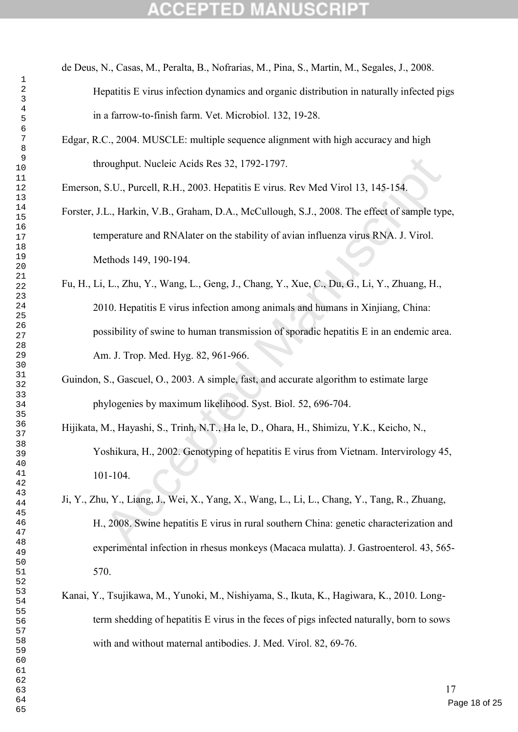- de Deus, N., Casas, M., Peralta, B., Nofrarias, M., Pina, S., Martin, M., Segales, J., 2008. Hepatitis E virus infection dynamics and organic distribution in naturally infected pigs in a farrow-to-finish farm. Vet. Microbiol. 132, 19-28.
- Edgar, R.C., 2004. MUSCLE: multiple sequence alignment with high accuracy and high throughput. Nucleic Acids Res 32, 1792-1797.

Emerson, S.U., Purcell, R.H., 2003. Hepatitis E virus. Rev Med Virol 13, 145-154.

- Forster, J.L., Harkin, V.B., Graham, D.A., McCullough, S.J., 2008. The effect of sample type, temperature and RNAlater on the stability of avian influenza virus RNA. J. Virol. Methods 149, 190-194.
- roughput. Nucleic Acids Res 32, 1792-1797.<br>
S.U., Purcell, R.H., 2003. Hepaititis E virus. Rev Med Virol 13, 145-154.<br>
L., Harkin, V.B., Graham, D.A., McCullough, S.J., 2008. The effect of sample typ<br>
mperature and RNAlate Fu, H., Li, L., Zhu, Y., Wang, L., Geng, J., Chang, Y., Xue, C., Du, G., Li, Y., Zhuang, H., 2010. Hepatitis E virus infection among animals and humans in Xinjiang, China: possibility of swine to human transmission of sporadic hepatitis E in an endemic area. Am. J. Trop. Med. Hyg. 82, 961-966.
- Guindon, S., Gascuel, O., 2003. A simple, fast, and accurate algorithm to estimate large phylogenies by maximum likelihood. Syst. Biol. 52, 696-704.
- Hijikata, M., Hayashi, S., Trinh, N.T., Ha le, D., Ohara, H., Shimizu, Y.K., Keicho, N., Yoshikura, H., 2002. Genotyping of hepatitis E virus from Vietnam. Intervirology 45, 101-104.
- Ji, Y., Zhu, Y., Liang, J., Wei, X., Yang, X., Wang, L., Li, L., Chang, Y., Tang, R., Zhuang, H., 2008. Swine hepatitis E virus in rural southern China: genetic characterization and experimental infection in rhesus monkeys (Macaca mulatta). J. Gastroenterol. 43, 565- 570.
- Kanai, Y., Tsujikawa, M., Yunoki, M., Nishiyama, S., Ikuta, K., Hagiwara, K., 2010. Longterm shedding of hepatitis E virus in the feces of pigs infected naturally, born to sows with and without maternal antibodies. J. Med. Virol. 82, 69-76.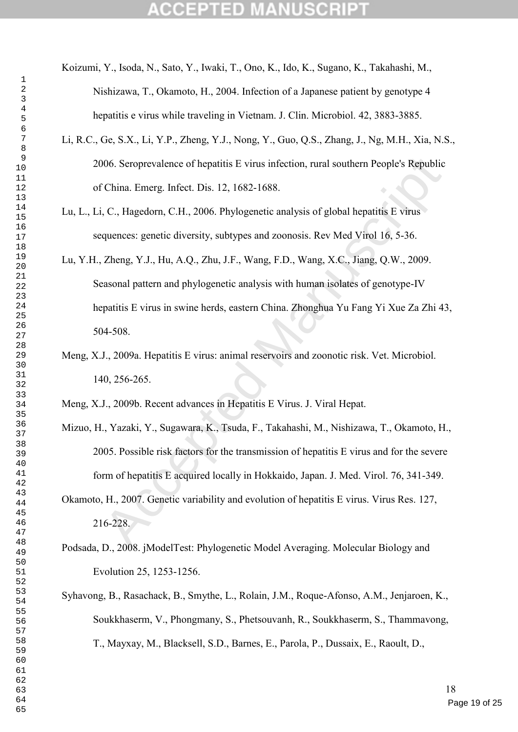Koizumi, Y., Isoda, N., Sato, Y., Iwaki, T., Ono, K., Ido, K., Sugano, K., Takahashi, M., Nishizawa, T., Okamoto, H., 2004. Infection of a Japanese patient by genotype 4 hepatitis e virus while traveling in Vietnam. J. Clin. Microbiol. 42, 3883-3885.

- Li, R.C., Ge, S.X., Li, Y.P., Zheng, Y.J., Nong, Y., Guo, Q.S., Zhang, J., Ng, M.H., Xia, N.S., 2006. Seroprevalence of hepatitis E virus infection, rural southern People's Republic of China. Emerg. Infect. Dis. 12, 1682-1688.
- Lu, L., Li, C., Hagedorn, C.H., 2006. Phylogenetic analysis of global hepatitis E virus sequences: genetic diversity, subtypes and zoonosis. Rev Med Virol 16, 5-36.
- 006. Seroprevalence of hepatitis E virus infection, rural southern People's Republic<br>
China. Emerg. Infect. Dis. 12, 1682-1688.<br>
C., Hagedom, C.H., 2006. Phylogenetic analysis of global hepatitis E virus<br>
quences: genetic Lu, Y.H., Zheng, Y.J., Hu, A.Q., Zhu, J.F., Wang, F.D., Wang, X.C., Jiang, Q.W., 2009. Seasonal pattern and phylogenetic analysis with human isolates of genotype-IV hepatitis E virus in swine herds, eastern China. Zhonghua Yu Fang Yi Xue Za Zhi 43, 504-508.
- Meng, X.J., 2009a. Hepatitis E virus: animal reservoirs and zoonotic risk. Vet. Microbiol. 140, 256-265.

Meng, X.J., 2009b. Recent advances in Hepatitis E Virus. J. Viral Hepat.

- Mizuo, H., Yazaki, Y., Sugawara, K., Tsuda, F., Takahashi, M., Nishizawa, T., Okamoto, H., 2005. Possible risk factors for the transmission of hepatitis E virus and for the severe form of hepatitis E acquired locally in Hokkaido, Japan. J. Med. Virol. 76, 341-349.
- Okamoto, H., 2007. Genetic variability and evolution of hepatitis E virus. Virus Res. 127, 216-228.
- Podsada, D., 2008. jModelTest: Phylogenetic Model Averaging. Molecular Biology and Evolution 25, 1253-1256.
- Syhavong, B., Rasachack, B., Smythe, L., Rolain, J.M., Roque-Afonso, A.M., Jenjaroen, K., Soukkhaserm, V., Phongmany, S., Phetsouvanh, R., Soukkhaserm, S., Thammavong, T., Mayxay, M., Blacksell, S.D., Barnes, E., Parola, P., Dussaix, E., Raoult, D.,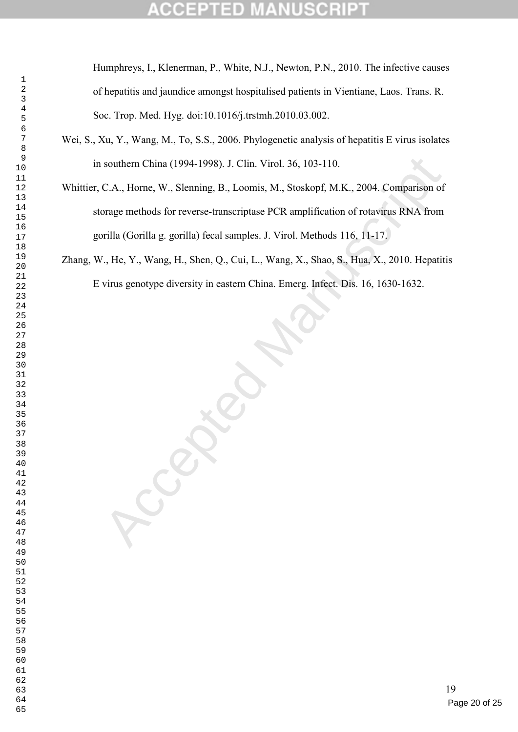Humphreys, I., Klenerman, P., White, N.J., Newton, P.N., 2010. The infective causes of hepatitis and jaundice amongst hospitalised patients in Vientiane, Laos. Trans. R. Soc. Trop. Med. Hyg. doi:10.1016/j.trstmh.2010.03.002.

- Wei, S., Xu, Y., Wang, M., To, S.S., 2006. Phylogenetic analysis of hepatitis E virus isolates in southern China (1994-1998). J. Clin. Virol. 36, 103-110.
- Whittier, C.A., Horne, W., Slenning, B., Loomis, M., Stoskopf, M.K., 2004. Comparison of storage methods for reverse-transcriptase PCR amplification of rotavirus RNA from gorilla (Gorilla g. gorilla) fecal samples. J. Virol. Methods 116, 11-17.
- **Accepted Manuscript** Zhang, W., He, Y., Wang, H., Shen, Q., Cui, L., Wang, X., Shao, S., Hua, X., 2010. Hepatitis E virus genotype diversity in eastern China. Emerg. Infect. Dis. 16, 1630-1632.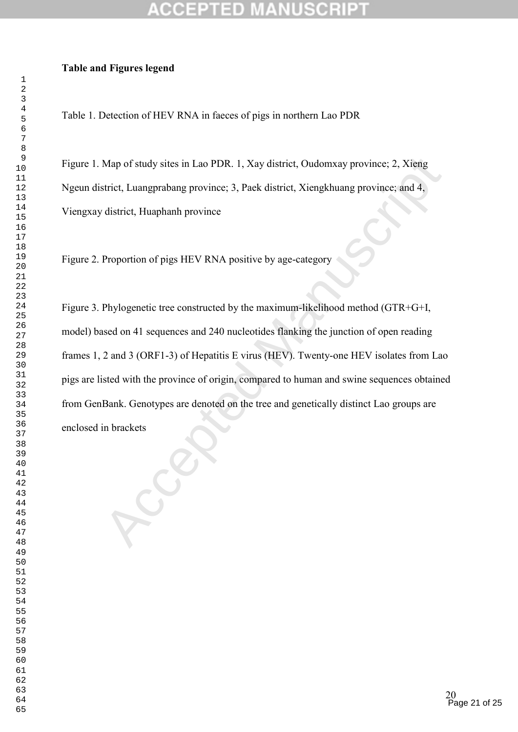### **\CCEPTED MANUSCRI**I

#### **Table and Figures legend**

Table 1. Detection of HEV RNA in faeces of pigs in northern Lao PDR

Figure 1. Map of study sites in Lao PDR. 1, Xay district, Oudomxay province; 2, Xieng Ngeun district, Luangprabang province; 3, Paek district, Xiengkhuang province; and 4, Viengxay district, Huaphanh province

Figure 2. Proportion of pigs HEV RNA positive by age-category

Map of study sites in Lao PDR. 1, Xay district, Oudomxay province; 2, Xieng<br>strict, Luangprabang province; 3, Pack district, Xiengkhuang province; and 4,<br>district, Huaphanh province<br>Proportion of pigs HEV RNA positive by a Figure 3. Phylogenetic tree constructed by the maximum-likelihood method (GTR+G+I, model) based on 41 sequences and 240 nucleotides flanking the junction of open reading frames 1, 2 and 3 (ORF1-3) of Hepatitis E virus (HEV). Twenty-one HEV isolates from Lao pigs are listed with the province of origin, compared to human and swine sequences obtained from GenBank. Genotypes are denoted on the tree and genetically distinct Lao groups are enclosed in brackets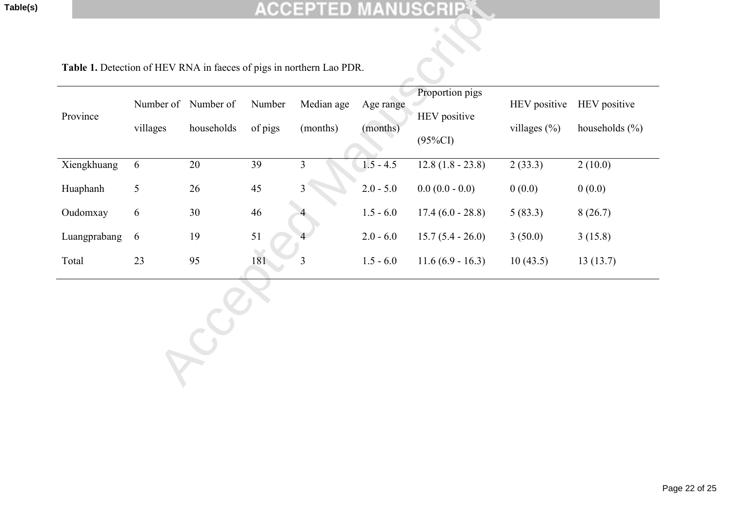| <b>ACCEPTED MANUSCRIPY</b>                                           |          |                     |         |                |             |                                 |                  |                    |  |
|----------------------------------------------------------------------|----------|---------------------|---------|----------------|-------------|---------------------------------|------------------|--------------------|--|
|                                                                      |          |                     |         |                |             |                                 |                  |                    |  |
| Table 1. Detection of HEV RNA in faeces of pigs in northern Lao PDR. |          |                     |         |                |             |                                 |                  |                    |  |
| Province                                                             |          | Number of Number of | Number  | Median age     | Age range   | Proportion pigs<br>HEV positive | HEV positive     | HEV positive       |  |
|                                                                      | villages | households          | of pigs | (months)       | (months)    | $(95\%CI)$                      | villages $(\% )$ | households $(\% )$ |  |
| Xiengkhuang                                                          | 6        | 20                  | 39      | $\overline{3}$ | $1.5 - 4.5$ | $12.8(1.8 - 23.8)$              | 2(33.3)          | 2(10.0)            |  |
| Huaphanh                                                             | 5        | 26                  | 45      |                | $2.0 - 5.0$ | $0.0 (0.0 - 0.0)$               | 0(0.0)           | 0(0.0)             |  |
| Oudomxay                                                             | 6        | 30                  | 46      |                | $1.5 - 6.0$ | $17.4(6.0 - 28.8)$              | 5(83.3)          | 8(26.7)            |  |
| Luangprabang                                                         | 6        | 19                  | 51      |                | $2.0 - 6.0$ | $15.7(5.4 - 26.0)$              | 3(50.0)          | 3(15.8)            |  |
| Total                                                                | 23       | 95                  | 181     | 3              | $1.5 - 6.0$ | $11.6(6.9 - 16.3)$              | 10(43.5)         | 13(13.7)           |  |
|                                                                      |          |                     |         |                |             |                                 |                  |                    |  |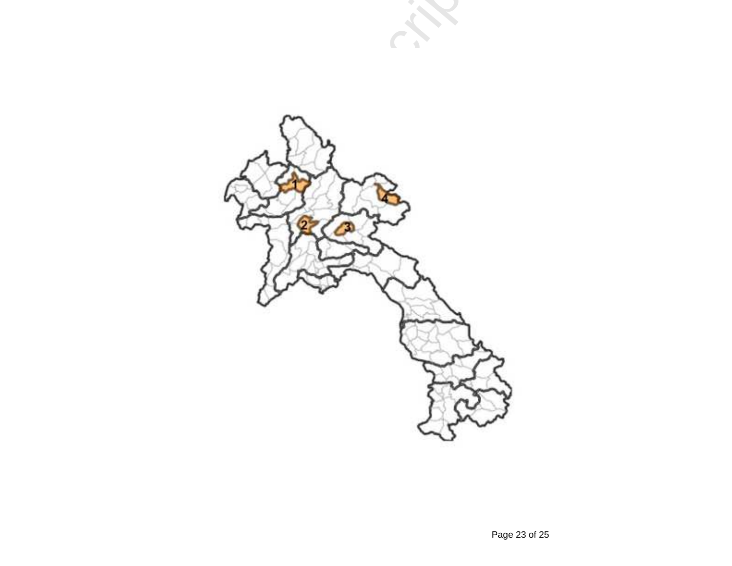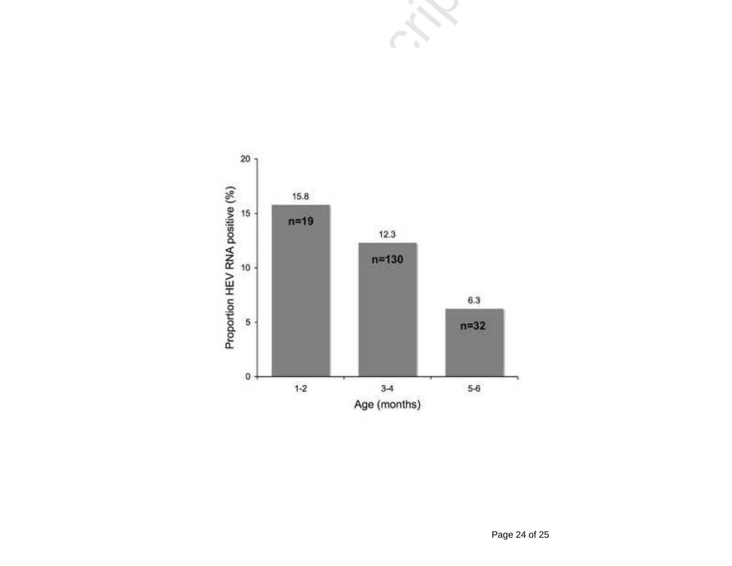